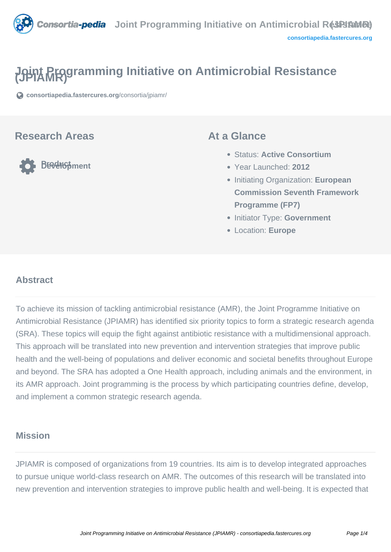

# **Joint Programming Initiative on Antimicrobial Resistance (JPIAMR)**

**[consortiapedia.fastercures.org](https://consortiapedia.fastercures.org/consortia/jpiamr/)**[/consortia/jpiamr/](https://consortiapedia.fastercures.org/consortia/jpiamr/)

#### **Research Areas**

**Product Development**

#### **At a Glance**

- Status: **Active Consortium**
- Year Launched: **2012**
- Initiating Organization: **European Commission Seventh Framework Programme (FP7)**
- **Initiator Type: Government**
- Location: **Europe**

#### $\overline{a}$ **Abstract**

To achieve its mission of tackling antimicrobial resistance (AMR), the Joint Programme Initiative on Antimicrobial Resistance (JPIAMR) has identified six priority topics to form a strategic research agenda (SRA). These topics will equip the fight against antibiotic resistance with a multidimensional approach. This approach will be translated into new prevention and intervention strategies that improve public health and the well-being of populations and deliver economic and societal benefits throughout Europe and beyond. The SRA has adopted a One Health approach, including animals and the environment, in its AMR approach. Joint programming is the process by which participating countries define, develop, and implement a common strategic research agenda.

# **Mission**

JPIAMR is composed of organizations from 19 countries. Its aim is to develop integrated approaches to pursue unique world-class research on AMR. The outcomes of this research will be translated into new prevention and intervention strategies to improve public health and well-being. It is expected that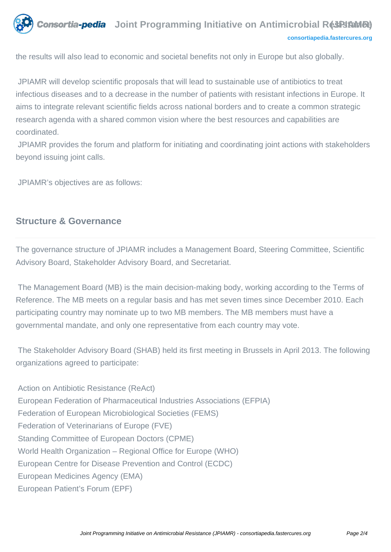

the results will also lead to economic and societal benefits not only in Europe but also globally.

 JPIAMR will develop scientific proposals that will lead to sustainable use of antibiotics to treat infectious diseases and to a decrease in the number of patients with resistant infections in Europe. It aims to integrate relevant scientific fields across national borders and to create a common strategic research agenda with a shared common vision where the best resources and capabilities are coordinated.

 JPIAMR provides the forum and platform for initiating and coordinating joint actions with stakeholders beyond issuing joint calls.

JPIAMR's objectives are as follows:

#### **Structure & Governance**

The governance structure of JPIAMR includes a Management Board, Steering Committee, Scientific Advisory Board, Stakeholder Advisory Board, and Secretariat.

 The Management Board (MB) is the main decision-making body, working according to the Terms of Reference. The MB meets on a regular basis and has met seven times since December 2010. Each participating country may nominate up to two MB members. The MB members must have a governmental mandate, and only one representative from each country may vote.

 The Stakeholder Advisory Board (SHAB) held its first meeting in Brussels in April 2013. The following organizations agreed to participate:

 Action on Antibiotic Resistance (ReAct) European Federation of Pharmaceutical Industries Associations (EFPIA) Federation of European Microbiological Societies (FEMS) Federation of Veterinarians of Europe (FVE) Standing Committee of European Doctors (CPME) World Health Organization – Regional Office for Europe (WHO) European Centre for Disease Prevention and Control (ECDC) European Medicines Agency (EMA) European Patient's Forum (EPF)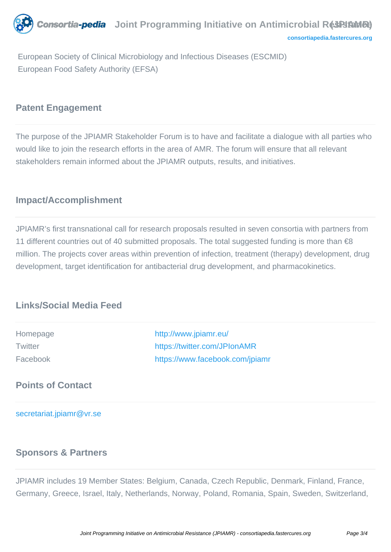*Consortia-pedia* Joint Programming Initiative on Antimicrobial R**ésPi/aMRe**) **[consortiapedia.fastercures.org](http://consortiapedia.fastercures.org/)**

 European Society of Clinical Microbiology and Infectious Diseases (ESCMID) European Food Safety Authority (EFSA)

#### **Patent Engagement**

The purpose of the JPIAMR Stakeholder Forum is to have and facilitate a dialogue with all parties who would like to join the research efforts in the area of AMR. The forum will ensure that all relevant stakeholders remain informed about the JPIAMR outputs, results, and initiatives.

# **Impact/Accomplishment**

JPIAMR's first transnational call for research proposals resulted in seven consortia with partners from 11 different countries out of 40 submitted proposals. The total suggested funding is more than €8 million. The projects cover areas within prevention of infection, treatment (therapy) development, drug development, target identification for antibacterial drug development, and pharmacokinetics.

# **Links/Social Media Feed**

| Homepage       | http://www.jpiamr.eu/           |
|----------------|---------------------------------|
| <b>Twitter</b> | https://twitter.com/JPIonAMR    |
| Facebook       | https://www.facebook.com/jpiamr |

**Points of Contact**

[secretariat.jpiamr@vr.se](mailto:secretariat.jpiamr@vr.se)

#### **Sponsors & Partners**

JPIAMR includes 19 Member States: Belgium, Canada, Czech Republic, Denmark, Finland, France, Germany, Greece, Israel, Italy, Netherlands, Norway, Poland, Romania, Spain, Sweden, Switzerland,